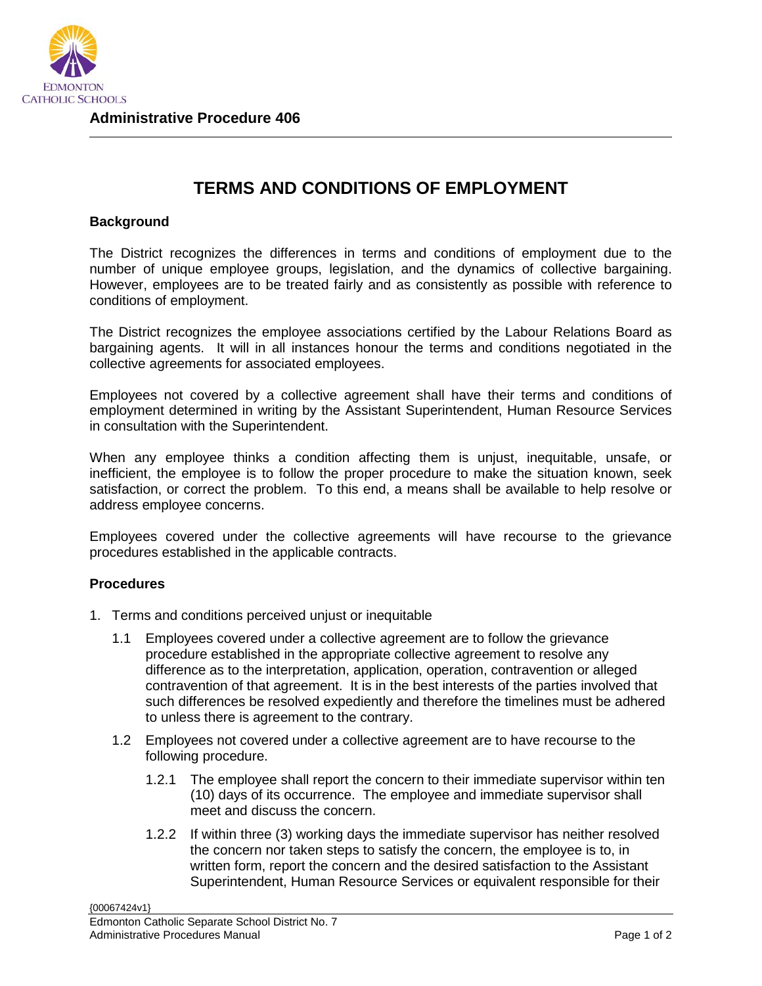

## **TERMS AND CONDITIONS OF EMPLOYMENT**

## **Background**

The District recognizes the differences in terms and conditions of employment due to the number of unique employee groups, legislation, and the dynamics of collective bargaining. However, employees are to be treated fairly and as consistently as possible with reference to conditions of employment.

The District recognizes the employee associations certified by the Labour Relations Board as bargaining agents. It will in all instances honour the terms and conditions negotiated in the collective agreements for associated employees.

Employees not covered by a collective agreement shall have their terms and conditions of employment determined in writing by the Assistant Superintendent, Human Resource Services in consultation with the Superintendent.

When any employee thinks a condition affecting them is unjust, inequitable, unsafe, or inefficient, the employee is to follow the proper procedure to make the situation known, seek satisfaction, or correct the problem. To this end, a means shall be available to help resolve or address employee concerns.

Employees covered under the collective agreements will have recourse to the grievance procedures established in the applicable contracts.

## **Procedures**

- 1. Terms and conditions perceived unjust or inequitable
	- 1.1 Employees covered under a collective agreement are to follow the grievance procedure established in the appropriate collective agreement to resolve any difference as to the interpretation, application, operation, contravention or alleged contravention of that agreement. It is in the best interests of the parties involved that such differences be resolved expediently and therefore the timelines must be adhered to unless there is agreement to the contrary.
	- 1.2 Employees not covered under a collective agreement are to have recourse to the following procedure.
		- 1.2.1 The employee shall report the concern to their immediate supervisor within ten (10) days of its occurrence. The employee and immediate supervisor shall meet and discuss the concern.
		- 1.2.2 If within three (3) working days the immediate supervisor has neither resolved the concern nor taken steps to satisfy the concern, the employee is to, in written form, report the concern and the desired satisfaction to the Assistant Superintendent, Human Resource Services or equivalent responsible for their